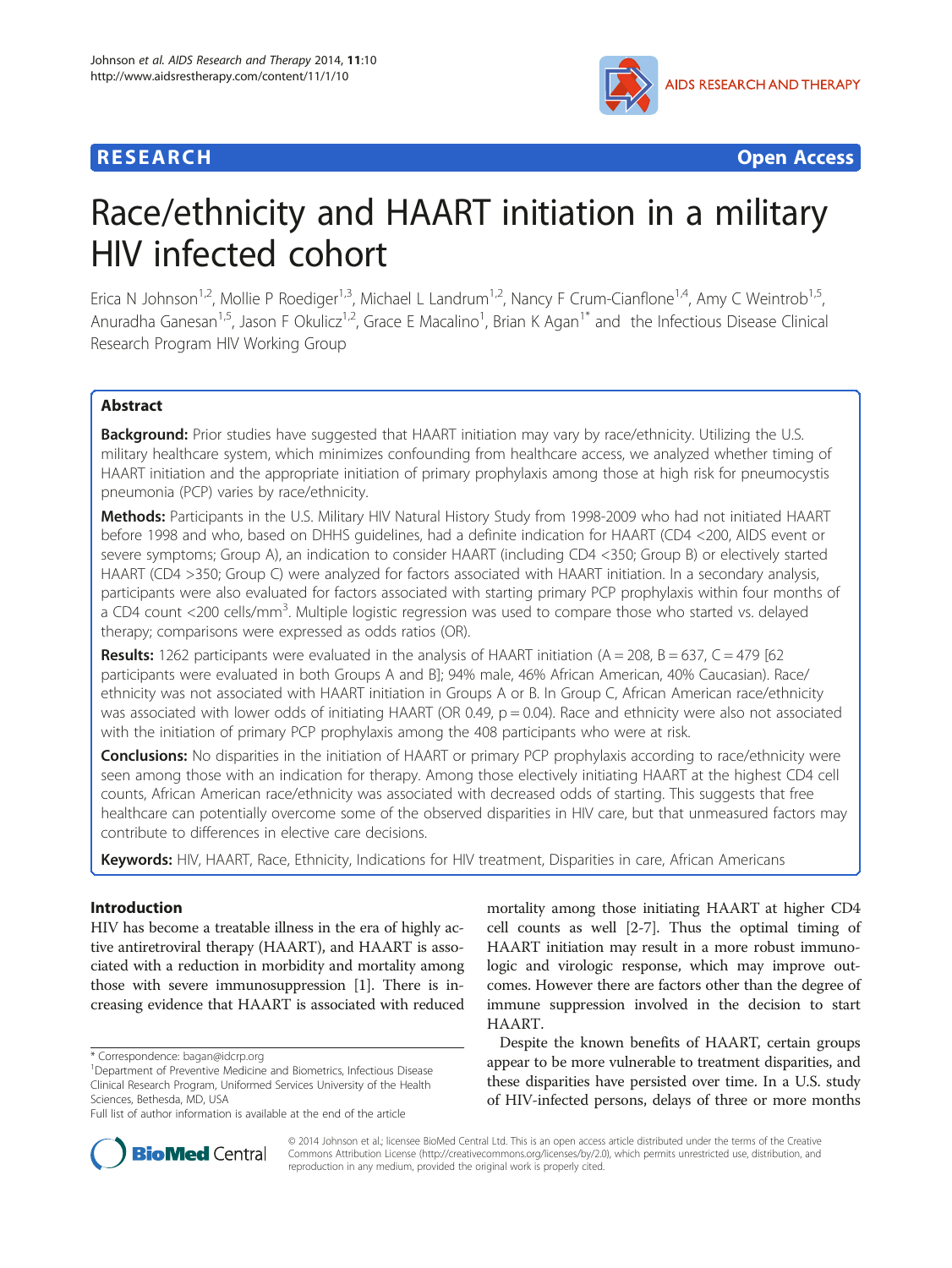# **RESEARCH CHEAR CHEAR CHEAR CHEAR CHEAR CHEAR CHEAR CHEAR CHEAR CHEAR CHEAR CHEAR CHEAR CHEAR CHEAR CHEAR CHEAR**



# Race/ethnicity and HAART initiation in a military HIV infected cohort

Erica N Johnson<sup>1,2</sup>, Mollie P Roediger<sup>1,3</sup>, Michael L Landrum<sup>1,2</sup>, Nancy F Crum-Cianflone<sup>1,4</sup>, Amy C Weintrob<sup>1,5</sup>, Anuradha Ganesan<sup>1,5</sup>, Jason F Okulicz<sup>1,2</sup>, Grace E Macalino<sup>1</sup>, Brian K Agan<sup>1\*</sup> and the Infectious Disease Clinical Research Program HIV Working Group

# Abstract

**Background:** Prior studies have suggested that HAART initiation may vary by race/ethnicity. Utilizing the U.S. military healthcare system, which minimizes confounding from healthcare access, we analyzed whether timing of HAART initiation and the appropriate initiation of primary prophylaxis among those at high risk for pneumocystis pneumonia (PCP) varies by race/ethnicity.

Methods: Participants in the U.S. Military HIV Natural History Study from 1998-2009 who had not initiated HAART before 1998 and who, based on DHHS guidelines, had a definite indication for HAART (CD4 <200, AIDS event or severe symptoms; Group A), an indication to consider HAART (including CD4 <350; Group B) or electively started HAART (CD4 >350; Group C) were analyzed for factors associated with HAART initiation. In a secondary analysis, participants were also evaluated for factors associated with starting primary PCP prophylaxis within four months of .<br>a CD4 count <200 cells/mm<sup>3</sup>. Multiple logistic regression was used to compare those who started vs. delayed therapy; comparisons were expressed as odds ratios (OR).

**Results:** 1262 participants were evaluated in the analysis of HAART initiation (A = 208, B = 637, C = 479 [62 participants were evaluated in both Groups A and B]; 94% male, 46% African American, 40% Caucasian). Race/ ethnicity was not associated with HAART initiation in Groups A or B. In Group C, African American race/ethnicity was associated with lower odds of initiating HAART (OR 0.49,  $p = 0.04$ ). Race and ethnicity were also not associated with the initiation of primary PCP prophylaxis among the 408 participants who were at risk.

**Conclusions:** No disparities in the initiation of HAART or primary PCP prophylaxis according to race/ethnicity were seen among those with an indication for therapy. Among those electively initiating HAART at the highest CD4 cell counts, African American race/ethnicity was associated with decreased odds of starting. This suggests that free healthcare can potentially overcome some of the observed disparities in HIV care, but that unmeasured factors may contribute to differences in elective care decisions.

Keywords: HIV, HAART, Race, Ethnicity, Indications for HIV treatment, Disparities in care, African Americans

# Introduction

HIV has become a treatable illness in the era of highly active antiretroviral therapy (HAART), and HAART is associated with a reduction in morbidity and mortality among those with severe immunosuppression [\[1](#page-8-0)]. There is increasing evidence that HAART is associated with reduced mortality among those initiating HAART at higher CD4 cell counts as well [[2-7\]](#page-8-0). Thus the optimal timing of HAART initiation may result in a more robust immunologic and virologic response, which may improve outcomes. However there are factors other than the degree of immune suppression involved in the decision to start HAART.

Despite the known benefits of HAART, certain groups appear to be more vulnerable to treatment disparities, and these disparities have persisted over time. In a U.S. study of HIV-infected persons, delays of three or more months



© 2014 Johnson et al.; licensee BioMed Central Ltd. This is an open access article distributed under the terms of the Creative Commons Attribution License [\(http://creativecommons.org/licenses/by/2.0\)](http://creativecommons.org/licenses/by/2.0), which permits unrestricted use, distribution, and reproduction in any medium, provided the original work is properly cited.

<sup>\*</sup> Correspondence: [bagan@idcrp.org](mailto:bagan@idcrp.org) <sup>1</sup>

Department of Preventive Medicine and Biometrics, Infectious Disease Clinical Research Program, Uniformed Services University of the Health Sciences, Bethesda, MD, USA

Full list of author information is available at the end of the article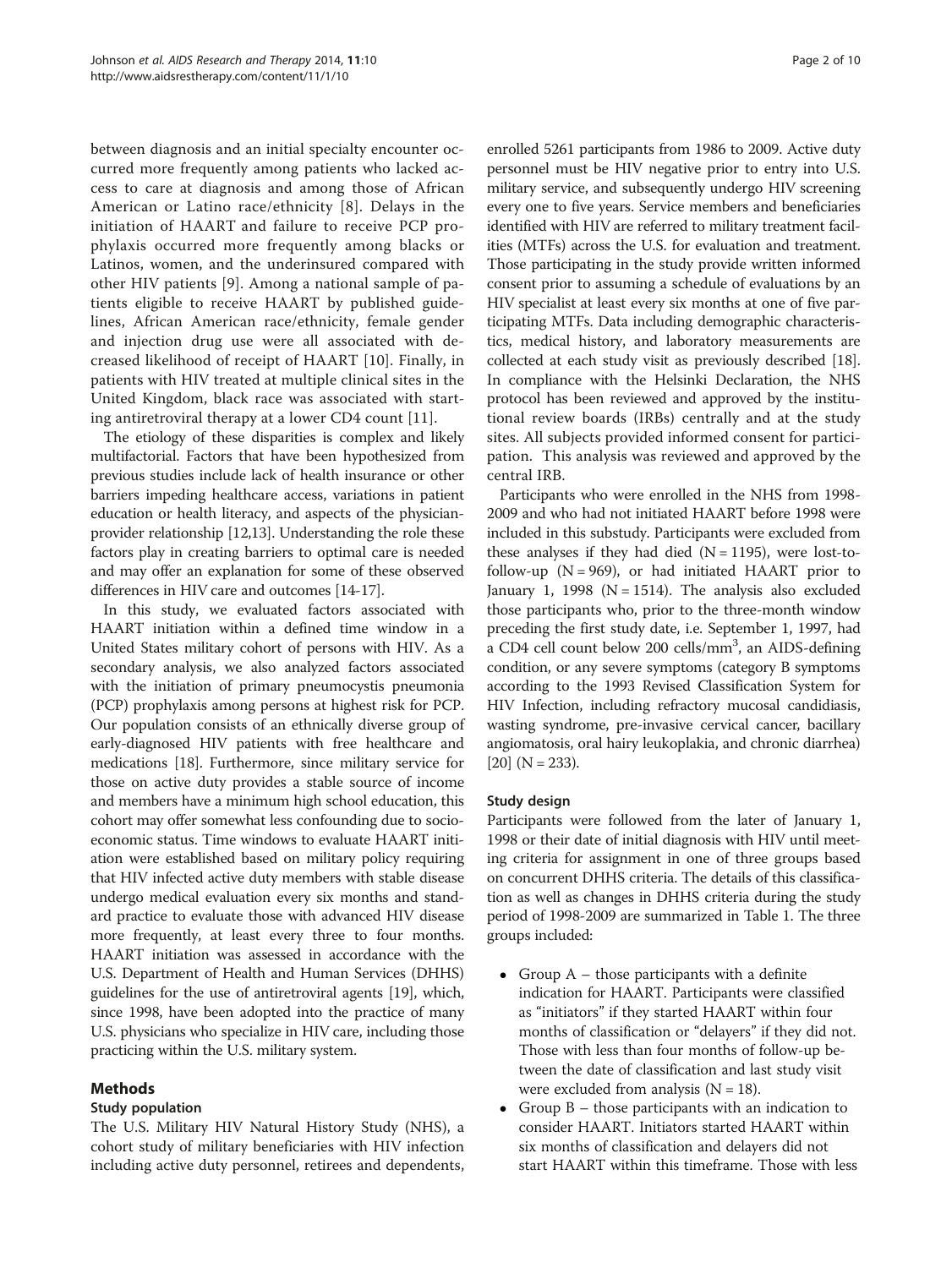between diagnosis and an initial specialty encounter occurred more frequently among patients who lacked access to care at diagnosis and among those of African American or Latino race/ethnicity [[8](#page-8-0)]. Delays in the initiation of HAART and failure to receive PCP prophylaxis occurred more frequently among blacks or Latinos, women, and the underinsured compared with other HIV patients [[9](#page-8-0)]. Among a national sample of patients eligible to receive HAART by published guidelines, African American race/ethnicity, female gender and injection drug use were all associated with decreased likelihood of receipt of HAART [[10\]](#page-8-0). Finally, in patients with HIV treated at multiple clinical sites in the United Kingdom, black race was associated with starting antiretroviral therapy at a lower CD4 count [\[11](#page-8-0)].

The etiology of these disparities is complex and likely multifactorial. Factors that have been hypothesized from previous studies include lack of health insurance or other barriers impeding healthcare access, variations in patient education or health literacy, and aspects of the physicianprovider relationship [[12,13\]](#page-8-0). Understanding the role these factors play in creating barriers to optimal care is needed and may offer an explanation for some of these observed differences in HIV care and outcomes [[14](#page-8-0)-[17](#page-8-0)].

In this study, we evaluated factors associated with HAART initiation within a defined time window in a United States military cohort of persons with HIV. As a secondary analysis, we also analyzed factors associated with the initiation of primary pneumocystis pneumonia (PCP) prophylaxis among persons at highest risk for PCP. Our population consists of an ethnically diverse group of early-diagnosed HIV patients with free healthcare and medications [\[18\]](#page-8-0). Furthermore, since military service for those on active duty provides a stable source of income and members have a minimum high school education, this cohort may offer somewhat less confounding due to socioeconomic status. Time windows to evaluate HAART initiation were established based on military policy requiring that HIV infected active duty members with stable disease undergo medical evaluation every six months and standard practice to evaluate those with advanced HIV disease more frequently, at least every three to four months. HAART initiation was assessed in accordance with the U.S. Department of Health and Human Services (DHHS) guidelines for the use of antiretroviral agents [\[19\]](#page-9-0), which, since 1998, have been adopted into the practice of many U.S. physicians who specialize in HIV care, including those practicing within the U.S. military system.

# Methods

# Study population

The U.S. Military HIV Natural History Study (NHS), a cohort study of military beneficiaries with HIV infection including active duty personnel, retirees and dependents,

enrolled 5261 participants from 1986 to 2009. Active duty personnel must be HIV negative prior to entry into U.S. military service, and subsequently undergo HIV screening every one to five years. Service members and beneficiaries identified with HIV are referred to military treatment facilities (MTFs) across the U.S. for evaluation and treatment. Those participating in the study provide written informed consent prior to assuming a schedule of evaluations by an HIV specialist at least every six months at one of five participating MTFs. Data including demographic characteristics, medical history, and laboratory measurements are collected at each study visit as previously described [[18](#page-8-0)]. In compliance with the Helsinki Declaration, the NHS protocol has been reviewed and approved by the institutional review boards (IRBs) centrally and at the study sites. All subjects provided informed consent for participation. This analysis was reviewed and approved by the central IRB.

Participants who were enrolled in the NHS from 1998- 2009 and who had not initiated HAART before 1998 were included in this substudy. Participants were excluded from these analyses if they had died  $(N = 1195)$ , were lost-tofollow-up  $(N = 969)$ , or had initiated HAART prior to January 1, 1998 ( $N = 1514$ ). The analysis also excluded those participants who, prior to the three-month window preceding the first study date, i.e. September 1, 1997, had a CD4 cell count below 200 cells/mm<sup>3</sup>, an AIDS-defining condition, or any severe symptoms (category B symptoms according to the 1993 Revised Classification System for HIV Infection, including refractory mucosal candidiasis, wasting syndrome, pre-invasive cervical cancer, bacillary angiomatosis, oral hairy leukoplakia, and chronic diarrhea)  $[20]$  $[20]$  $[20]$  (N = 233).

# Study design

Participants were followed from the later of January 1, 1998 or their date of initial diagnosis with HIV until meeting criteria for assignment in one of three groups based on concurrent DHHS criteria. The details of this classification as well as changes in DHHS criteria during the study period of 1998-2009 are summarized in Table [1.](#page-2-0) The three groups included:

- Group  $A$  those participants with a definite indication for HAART. Participants were classified as "initiators" if they started HAART within four months of classification or "delayers" if they did not. Those with less than four months of follow-up between the date of classification and last study visit were excluded from analysis  $(N = 18)$ .
- Group  $B$  those participants with an indication to consider HAART. Initiators started HAART within six months of classification and delayers did not start HAART within this timeframe. Those with less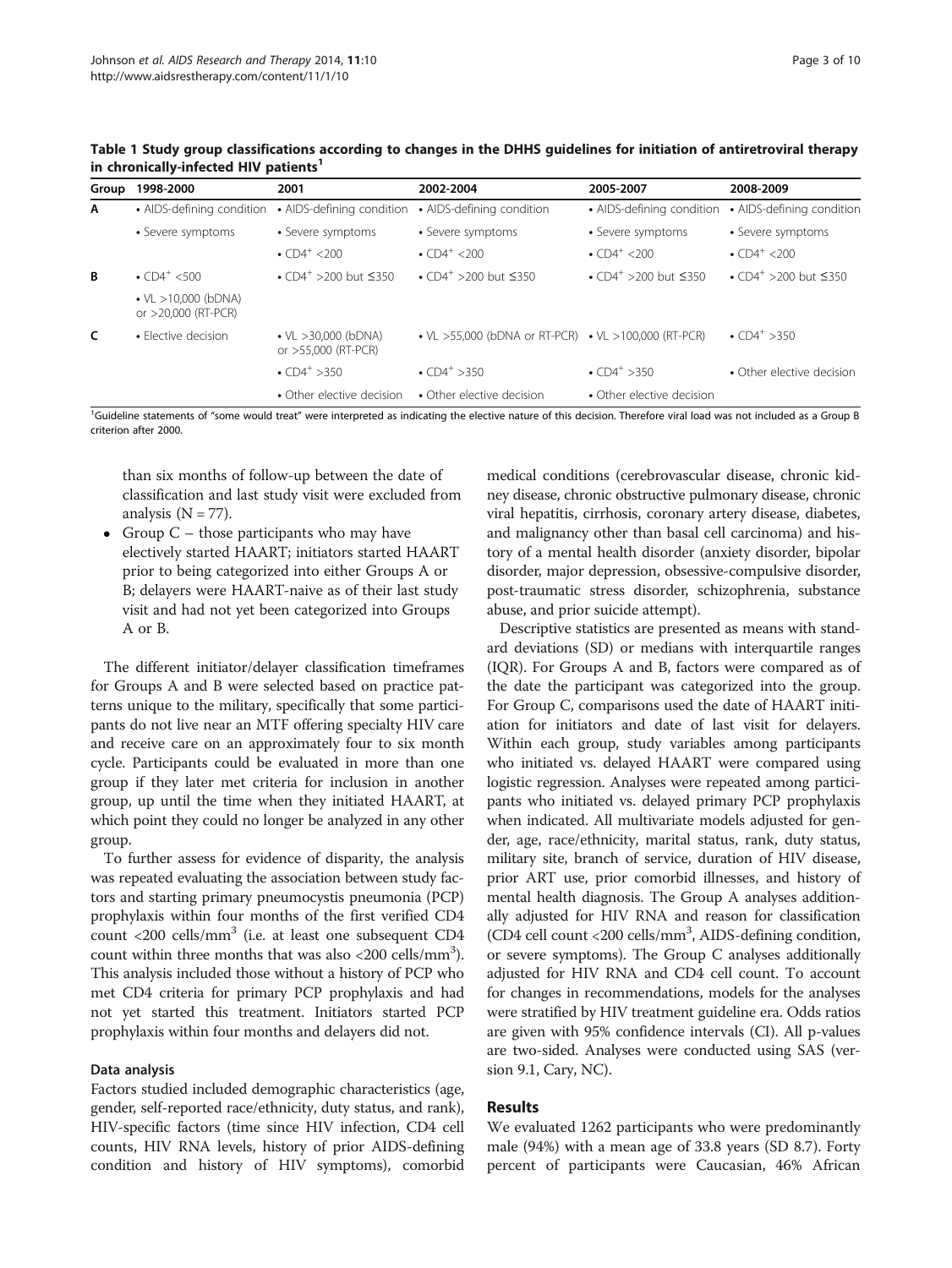| Group | 1998-2000                                          | 2001                                               | 2002-2004                                              | 2005-2007                      | 2008-2009                      |
|-------|----------------------------------------------------|----------------------------------------------------|--------------------------------------------------------|--------------------------------|--------------------------------|
| A     | • AIDS-defining condition                          | • AIDS-defining condition                          | • AIDS-defining condition                              | • AIDS-defining condition      | • AIDS-defining condition      |
|       | • Severe symptoms                                  | • Severe symptoms                                  | • Severe symptoms                                      | • Severe symptoms              | • Severe symptoms              |
|       |                                                    | • $CD4^+$ < 200                                    | • $CD4^+$ < 200                                        | • $CD4^+$ < 200                | • $CD4^+$ < 200                |
| B     | $\cdot$ CD4 <sup>+</sup> <500                      | • $CD4^+$ >200 but $\leq$ 350                      | • $CD4^+$ > 200 but $\leq$ 350                         | • $CD4^+$ > 200 but $\leq$ 350 | • $CD4^+$ > 200 but $\leq$ 350 |
|       | $\cdot$ VL $>10,000$ (bDNA)<br>or >20,000 (RT-PCR) |                                                    |                                                        |                                |                                |
| C     | • Elective decision                                | $\cdot$ VL $>30.000$ (bDNA)<br>or >55,000 (RT-PCR) | • VL > 55.000 (bDNA or RT-PCR) • VL > 100.000 (RT-PCR) |                                | • $CD4^+ > 350$                |
|       |                                                    | • $CD4^+ > 350$                                    | • $CD4^+ > 350$                                        | $\cdot$ CD4 <sup>+</sup> >350  | • Other elective decision      |
|       |                                                    | • Other elective decision                          | • Other elective decision                              | • Other elective decision      |                                |

<span id="page-2-0"></span>Table 1 Study group classifications according to changes in the DHHS guidelines for initiation of antiretroviral therapy in chronically-infected HIV patients<sup>1</sup>

<sup>1</sup>Guideline statements of "some would treat" were interpreted as indicating the elective nature of this decision. Therefore viral load was not included as a Group B criterion after 2000.

than six months of follow-up between the date of classification and last study visit were excluded from analysis  $(N = 77)$ .

• Group  $C$  – those participants who may have electively started HAART; initiators started HAART prior to being categorized into either Groups A or B; delayers were HAART-naive as of their last study visit and had not yet been categorized into Groups A or B.

The different initiator/delayer classification timeframes for Groups A and B were selected based on practice patterns unique to the military, specifically that some participants do not live near an MTF offering specialty HIV care and receive care on an approximately four to six month cycle. Participants could be evaluated in more than one group if they later met criteria for inclusion in another group, up until the time when they initiated HAART, at which point they could no longer be analyzed in any other group.

To further assess for evidence of disparity, the analysis was repeated evaluating the association between study factors and starting primary pneumocystis pneumonia (PCP) prophylaxis within four months of the first verified CD4 count <200 cells/mm3 (i.e. at least one subsequent CD4 count within three months that was also <200 cells/ $\text{mm}^3$ ). This analysis included those without a history of PCP who met CD4 criteria for primary PCP prophylaxis and had not yet started this treatment. Initiators started PCP prophylaxis within four months and delayers did not.

#### Data analysis

Factors studied included demographic characteristics (age, gender, self-reported race/ethnicity, duty status, and rank), HIV-specific factors (time since HIV infection, CD4 cell counts, HIV RNA levels, history of prior AIDS-defining condition and history of HIV symptoms), comorbid

medical conditions (cerebrovascular disease, chronic kidney disease, chronic obstructive pulmonary disease, chronic viral hepatitis, cirrhosis, coronary artery disease, diabetes, and malignancy other than basal cell carcinoma) and history of a mental health disorder (anxiety disorder, bipolar disorder, major depression, obsessive-compulsive disorder, post-traumatic stress disorder, schizophrenia, substance abuse, and prior suicide attempt).

Descriptive statistics are presented as means with standard deviations (SD) or medians with interquartile ranges (IQR). For Groups A and B, factors were compared as of the date the participant was categorized into the group. For Group C, comparisons used the date of HAART initiation for initiators and date of last visit for delayers. Within each group, study variables among participants who initiated vs. delayed HAART were compared using logistic regression. Analyses were repeated among participants who initiated vs. delayed primary PCP prophylaxis when indicated. All multivariate models adjusted for gender, age, race/ethnicity, marital status, rank, duty status, military site, branch of service, duration of HIV disease, prior ART use, prior comorbid illnesses, and history of mental health diagnosis. The Group A analyses additionally adjusted for HIV RNA and reason for classification (CD4 cell count <200 cells/mm3 , AIDS-defining condition, or severe symptoms). The Group C analyses additionally adjusted for HIV RNA and CD4 cell count. To account for changes in recommendations, models for the analyses were stratified by HIV treatment guideline era. Odds ratios are given with 95% confidence intervals (CI). All p-values are two-sided. Analyses were conducted using SAS (version 9.1, Cary, NC).

# Results

We evaluated 1262 participants who were predominantly male (94%) with a mean age of 33.8 years (SD 8.7). Forty percent of participants were Caucasian, 46% African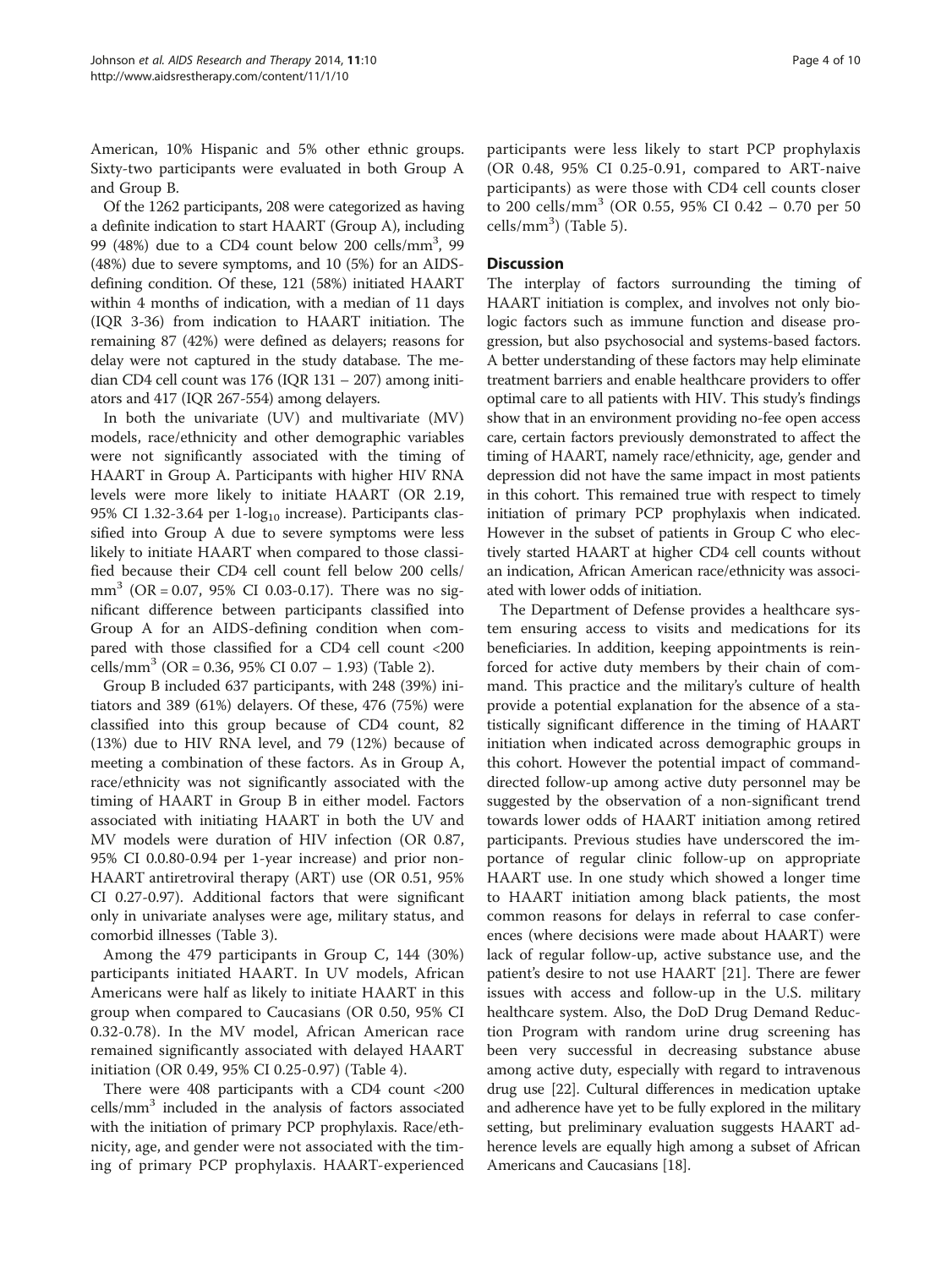American, 10% Hispanic and 5% other ethnic groups. Sixty-two participants were evaluated in both Group A and Group B.

Of the 1262 participants, 208 were categorized as having a definite indication to start HAART (Group A), including 99 (48%) due to a CD4 count below 200 cells/mm3 , 99 (48%) due to severe symptoms, and 10 (5%) for an AIDSdefining condition. Of these, 121 (58%) initiated HAART within 4 months of indication, with a median of 11 days (IQR 3-36) from indication to HAART initiation. The remaining 87 (42%) were defined as delayers; reasons for delay were not captured in the study database. The median CD4 cell count was 176 (IQR 131 – 207) among initiators and 417 (IQR 267-554) among delayers.

In both the univariate (UV) and multivariate (MV) models, race/ethnicity and other demographic variables were not significantly associated with the timing of HAART in Group A. Participants with higher HIV RNA levels were more likely to initiate HAART (OR 2.19, 95% CI 1.32-3.64 per  $1$ -log<sub>10</sub> increase). Participants classified into Group A due to severe symptoms were less likely to initiate HAART when compared to those classified because their CD4 cell count fell below 200 cells/ mm<sup>3</sup> (OR = 0.07, 95% CI 0.03-0.17). There was no significant difference between participants classified into Group A for an AIDS-defining condition when compared with those classified for a CD4 cell count <200 cells/mm<sup>3</sup> (OR = 0.36, 95% CI 0.07 – 1.93) (Table [2\)](#page-4-0).

Group B included 637 participants, with 248 (39%) initiators and 389 (61%) delayers. Of these, 476 (75%) were classified into this group because of CD4 count, 82 (13%) due to HIV RNA level, and 79 (12%) because of meeting a combination of these factors. As in Group A, race/ethnicity was not significantly associated with the timing of HAART in Group B in either model. Factors associated with initiating HAART in both the UV and MV models were duration of HIV infection (OR 0.87, 95% CI 0.0.80-0.94 per 1-year increase) and prior non-HAART antiretroviral therapy (ART) use (OR 0.51, 95% CI 0.27-0.97). Additional factors that were significant only in univariate analyses were age, military status, and comorbid illnesses (Table [3](#page-5-0)).

Among the 479 participants in Group C, 144 (30%) participants initiated HAART. In UV models, African Americans were half as likely to initiate HAART in this group when compared to Caucasians (OR 0.50, 95% CI 0.32-0.78). In the MV model, African American race remained significantly associated with delayed HAART initiation (OR 0.49, 95% CI 0.25-0.97) (Table [4](#page-6-0)).

There were 408 participants with a CD4 count <200 cells/mm3 included in the analysis of factors associated with the initiation of primary PCP prophylaxis. Race/ethnicity, age, and gender were not associated with the timing of primary PCP prophylaxis. HAART-experienced participants were less likely to start PCP prophylaxis (OR 0.48, 95% CI 0.25-0.91, compared to ART-naive participants) as were those with CD4 cell counts closer to 200 cells/mm<sup>3</sup> (OR 0.55, 95% CI 0.42 – 0.70 per 50 cells/mm<sup>3</sup>) (Table [5](#page-7-0)).

# **Discussion**

The interplay of factors surrounding the timing of HAART initiation is complex, and involves not only biologic factors such as immune function and disease progression, but also psychosocial and systems-based factors. A better understanding of these factors may help eliminate treatment barriers and enable healthcare providers to offer optimal care to all patients with HIV. This study's findings show that in an environment providing no-fee open access care, certain factors previously demonstrated to affect the timing of HAART, namely race/ethnicity, age, gender and depression did not have the same impact in most patients in this cohort. This remained true with respect to timely initiation of primary PCP prophylaxis when indicated. However in the subset of patients in Group C who electively started HAART at higher CD4 cell counts without an indication, African American race/ethnicity was associated with lower odds of initiation.

The Department of Defense provides a healthcare system ensuring access to visits and medications for its beneficiaries. In addition, keeping appointments is reinforced for active duty members by their chain of command. This practice and the military's culture of health provide a potential explanation for the absence of a statistically significant difference in the timing of HAART initiation when indicated across demographic groups in this cohort. However the potential impact of commanddirected follow-up among active duty personnel may be suggested by the observation of a non-significant trend towards lower odds of HAART initiation among retired participants. Previous studies have underscored the importance of regular clinic follow-up on appropriate HAART use. In one study which showed a longer time to HAART initiation among black patients, the most common reasons for delays in referral to case conferences (where decisions were made about HAART) were lack of regular follow-up, active substance use, and the patient's desire to not use HAART [[21](#page-9-0)]. There are fewer issues with access and follow-up in the U.S. military healthcare system. Also, the DoD Drug Demand Reduction Program with random urine drug screening has been very successful in decreasing substance abuse among active duty, especially with regard to intravenous drug use [\[22\]](#page-9-0). Cultural differences in medication uptake and adherence have yet to be fully explored in the military setting, but preliminary evaluation suggests HAART adherence levels are equally high among a subset of African Americans and Caucasians [[18](#page-8-0)].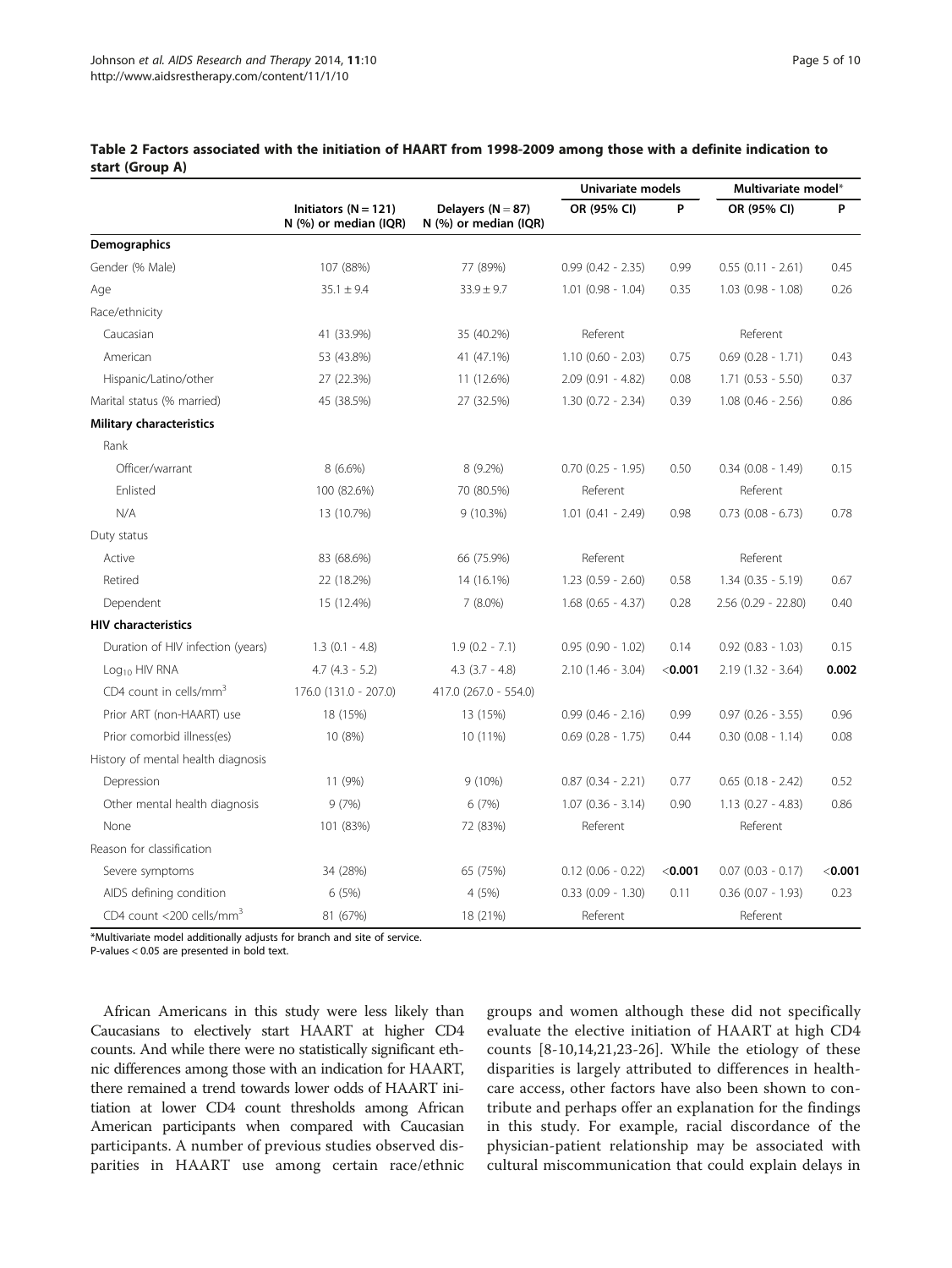|                                      |                                                     | Delayers $(N = 87)$<br>$N$ (%) or median (IQR) | Univariate models      |           | Multivariate model*    |           |
|--------------------------------------|-----------------------------------------------------|------------------------------------------------|------------------------|-----------|------------------------|-----------|
|                                      | Initiators ( $N = 121$ )<br>$N$ (%) or median (IQR) |                                                | OR (95% CI)            | P         | OR (95% CI)            | P         |
| Demographics                         |                                                     |                                                |                        |           |                        |           |
| Gender (% Male)                      | 107 (88%)                                           | 77 (89%)                                       | $0.99$ $(0.42 - 2.35)$ | 0.99      | $0.55(0.11 - 2.61)$    | 0.45      |
| Age                                  | $35.1 \pm 9.4$                                      | $33.9 \pm 9.7$                                 | $1.01$ $(0.98 - 1.04)$ | 0.35      | $1.03(0.98 - 1.08)$    | 0.26      |
| Race/ethnicity                       |                                                     |                                                |                        |           |                        |           |
| Caucasian                            | 41 (33.9%)                                          | 35 (40.2%)                                     | Referent               |           | Referent               |           |
| American                             | 53 (43.8%)                                          | 41 (47.1%)                                     | $1.10$ (0.60 - 2.03)   | 0.75      | $0.69$ $(0.28 - 1.71)$ | 0.43      |
| Hispanic/Latino/other                | 27 (22.3%)                                          | 11 (12.6%)                                     | $2.09$ (0.91 - 4.82)   | 0.08      | $1.71$ (0.53 - 5.50)   | 0.37      |
| Marital status (% married)           | 45 (38.5%)                                          | 27 (32.5%)                                     | $1.30$ (0.72 - 2.34)   | 0.39      | $1.08$ (0.46 - 2.56)   | 0.86      |
| <b>Military characteristics</b>      |                                                     |                                                |                        |           |                        |           |
| Rank                                 |                                                     |                                                |                        |           |                        |           |
| Officer/warrant                      | $8(6.6\%)$                                          | 8 (9.2%)                                       | $0.70$ $(0.25 - 1.95)$ | 0.50      | $0.34$ (0.08 - 1.49)   | 0.15      |
| Enlisted                             | 100 (82.6%)                                         | 70 (80.5%)                                     | Referent               |           | Referent               |           |
| N/A                                  | 13 (10.7%)                                          | 9 (10.3%)                                      | $1.01$ $(0.41 - 2.49)$ | 0.98      | $0.73$ $(0.08 - 6.73)$ | 0.78      |
| Duty status                          |                                                     |                                                |                        |           |                        |           |
| Active                               | 83 (68.6%)                                          | 66 (75.9%)                                     | Referent               |           | Referent               |           |
| Retired                              | 22 (18.2%)                                          | 14 (16.1%)                                     | $1.23$ (0.59 - 2.60)   | 0.58      | $1.34(0.35 - 5.19)$    | 0.67      |
| Dependent                            | 15 (12.4%)                                          | $7(8.0\%)$                                     | $1.68$ (0.65 - 4.37)   | 0.28      | 2.56 (0.29 - 22.80)    | 0.40      |
| <b>HIV characteristics</b>           |                                                     |                                                |                        |           |                        |           |
| Duration of HIV infection (years)    | $1.3$ (0.1 - 4.8)                                   | $1.9(0.2 - 7.1)$                               | $0.95(0.90 - 1.02)$    | 0.14      | $0.92$ $(0.83 - 1.03)$ | 0.15      |
| Log <sub>10</sub> HIV RNA            | $4.7$ $(4.3 - 5.2)$                                 | $4.3$ $(3.7 - 4.8)$                            | $2.10$ (1.46 - 3.04)   | $<$ 0.001 | $2.19(1.32 - 3.64)$    | 0.002     |
| CD4 count in cells/ $mm3$            | 176.0 (131.0 - 207.0)                               | 417.0 (267.0 - 554.0)                          |                        |           |                        |           |
| Prior ART (non-HAART) use            | 18 (15%)                                            | 13 (15%)                                       | $0.99$ $(0.46 - 2.16)$ | 0.99      | $0.97$ (0.26 - 3.55)   | 0.96      |
| Prior comorbid illness(es)           | 10 (8%)                                             | 10 (11%)                                       | $0.69$ $(0.28 - 1.75)$ | 0.44      | $0.30$ $(0.08 - 1.14)$ | 0.08      |
| History of mental health diagnosis   |                                                     |                                                |                        |           |                        |           |
| Depression                           | 11 (9%)                                             | $9(10\%)$                                      | $0.87$ $(0.34 - 2.21)$ | 0.77      | $0.65$ $(0.18 - 2.42)$ | 0.52      |
| Other mental health diagnosis        | 9(7%)                                               | 6(7%)                                          | $1.07$ $(0.36 - 3.14)$ | 0.90      | $1.13(0.27 - 4.83)$    | 0.86      |
| None                                 | 101 (83%)                                           | 72 (83%)                                       | Referent               |           | Referent               |           |
| Reason for classification            |                                                     |                                                |                        |           |                        |           |
| Severe symptoms                      | 34 (28%)                                            | 65 (75%)                                       | $0.12$ (0.06 - 0.22)   | $<$ 0.001 | $0.07$ (0.03 - 0.17)   | $<$ 0.001 |
| AIDS defining condition              | 6 (5%)                                              | 4 (5%)                                         | $0.33$ $(0.09 - 1.30)$ | 0.11      | $0.36$ (0.07 - 1.93)   | 0.23      |
| CD4 count <200 cells/mm <sup>3</sup> | 81 (67%)                                            | 18 (21%)                                       | Referent               |           | Referent               |           |

#### <span id="page-4-0"></span>Table 2 Factors associated with the initiation of HAART from 1998-2009 among those with a definite indication to start (Group A)

\*Multivariate model additionally adjusts for branch and site of service.

P-values < 0.05 are presented in bold text.

African Americans in this study were less likely than Caucasians to electively start HAART at higher CD4 counts. And while there were no statistically significant ethnic differences among those with an indication for HAART, there remained a trend towards lower odds of HAART initiation at lower CD4 count thresholds among African American participants when compared with Caucasian participants. A number of previous studies observed disparities in HAART use among certain race/ethnic

groups and women although these did not specifically evaluate the elective initiation of HAART at high CD4 counts [\[8-10,14](#page-8-0),[21,23-26\]](#page-9-0). While the etiology of these disparities is largely attributed to differences in healthcare access, other factors have also been shown to contribute and perhaps offer an explanation for the findings in this study. For example, racial discordance of the physician-patient relationship may be associated with cultural miscommunication that could explain delays in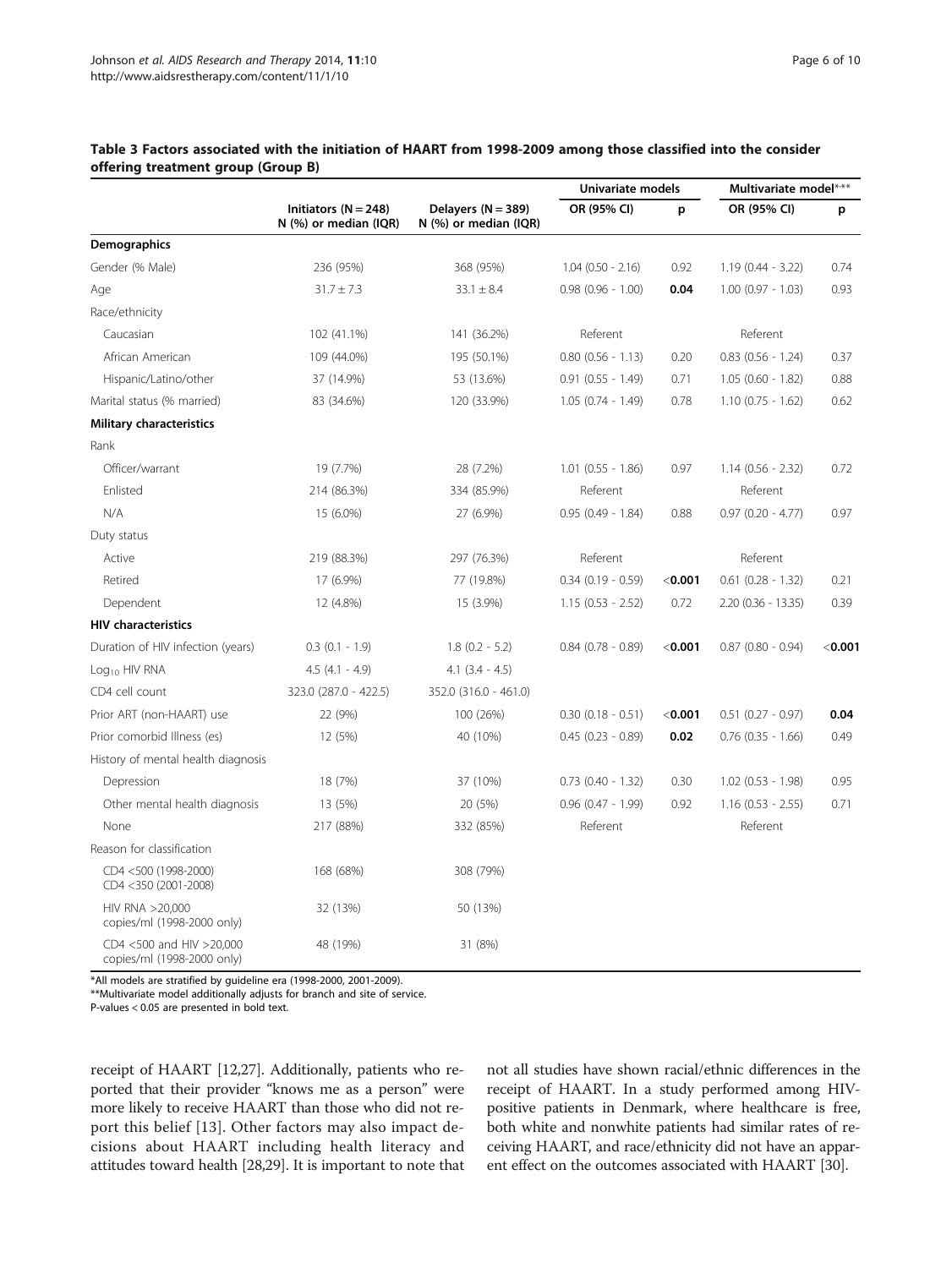|                                                        |                                               |                                               | Univariate models      |           | Multivariate model**** |           |
|--------------------------------------------------------|-----------------------------------------------|-----------------------------------------------|------------------------|-----------|------------------------|-----------|
|                                                        | Initiators (N = 248)<br>N (%) or median (IQR) | Delayers $(N = 389)$<br>N (%) or median (IQR) | OR (95% CI)            | p         | OR (95% CI)            | p         |
| Demographics                                           |                                               |                                               |                        |           |                        |           |
| Gender (% Male)                                        | 236 (95%)                                     | 368 (95%)                                     | $1.04$ (0.50 - 2.16)   | 0.92      | $1.19(0.44 - 3.22)$    | 0.74      |
| Age                                                    | $31.7 \pm 7.3$                                | $33.1 \pm 8.4$                                | $0.98$ $(0.96 - 1.00)$ | 0.04      | $1.00$ (0.97 - 1.03)   | 0.93      |
| Race/ethnicity                                         |                                               |                                               |                        |           |                        |           |
| Caucasian                                              | 102 (41.1%)                                   | 141 (36.2%)                                   | Referent               |           | Referent               |           |
| African American                                       | 109 (44.0%)                                   | 195 (50.1%)                                   | $0.80$ $(0.56 - 1.13)$ | 0.20      | $0.83$ $(0.56 - 1.24)$ | 0.37      |
| Hispanic/Latino/other                                  | 37 (14.9%)                                    | 53 (13.6%)                                    | $0.91$ $(0.55 - 1.49)$ | 0.71      | $1.05$ (0.60 - 1.82)   | 0.88      |
| Marital status (% married)                             | 83 (34.6%)                                    | 120 (33.9%)                                   | $1.05$ $(0.74 - 1.49)$ | 0.78      | $1.10$ (0.75 - 1.62)   | 0.62      |
| <b>Military characteristics</b>                        |                                               |                                               |                        |           |                        |           |
| Rank                                                   |                                               |                                               |                        |           |                        |           |
| Officer/warrant                                        | 19 (7.7%)                                     | 28 (7.2%)                                     | $1.01$ $(0.55 - 1.86)$ | 0.97      | $1.14$ (0.56 - 2.32)   | 0.72      |
| Enlisted                                               | 214 (86.3%)                                   | 334 (85.9%)                                   | Referent               |           | Referent               |           |
| N/A                                                    | 15 (6.0%)                                     | 27 (6.9%)                                     | $0.95$ (0.49 - 1.84)   | 0.88      | $0.97$ $(0.20 - 4.77)$ | 0.97      |
| Duty status                                            |                                               |                                               |                        |           |                        |           |
| Active                                                 | 219 (88.3%)                                   | 297 (76.3%)                                   | Referent               |           | Referent               |           |
| Retired                                                | 17 (6.9%)                                     | 77 (19.8%)                                    | $0.34$ (0.19 - 0.59)   | < 0.001   | $0.61$ $(0.28 - 1.32)$ | 0.21      |
| Dependent                                              | 12 (4.8%)                                     | 15 (3.9%)                                     | $1.15(0.53 - 2.52)$    | 0.72      | $2.20(0.36 - 13.35)$   | 0.39      |
| <b>HIV characteristics</b>                             |                                               |                                               |                        |           |                        |           |
| Duration of HIV infection (years)                      | $0.3$ $(0.1 - 1.9)$                           | $1.8$ (0.2 - 5.2)                             | $0.84$ $(0.78 - 0.89)$ | $<$ 0.001 | $0.87$ $(0.80 - 0.94)$ | $<$ 0.001 |
| $Log10$ HIV RNA                                        | $4.5(4.1 - 4.9)$                              | $4.1$ $(3.4 - 4.5)$                           |                        |           |                        |           |
| CD4 cell count                                         | 323.0 (287.0 - 422.5)                         | 352.0 (316.0 - 461.0)                         |                        |           |                        |           |
| Prior ART (non-HAART) use                              | 22 (9%)                                       | 100 (26%)                                     | $0.30$ $(0.18 - 0.51)$ | $<$ 0.001 | $0.51$ $(0.27 - 0.97)$ | 0.04      |
| Prior comorbid Illness (es)                            | 12 (5%)                                       | 40 (10%)                                      | $0.45$ $(0.23 - 0.89)$ | 0.02      | $0.76$ $(0.35 - 1.66)$ | 0.49      |
| History of mental health diagnosis                     |                                               |                                               |                        |           |                        |           |
| Depression                                             | 18 (7%)                                       | 37 (10%)                                      | $0.73$ $(0.40 - 1.32)$ | 0.30      | $1.02$ (0.53 - 1.98)   | 0.95      |
| Other mental health diagnosis                          | 13 (5%)                                       | 20 (5%)                                       | $0.96$ $(0.47 - 1.99)$ | 0.92      | $1.16$ (0.53 - 2.55)   | 0.71      |
| None                                                   | 217 (88%)                                     | 332 (85%)                                     | Referent               |           | Referent               |           |
| Reason for classification                              |                                               |                                               |                        |           |                        |           |
| CD4 <500 (1998-2000)<br>CD4 <350 (2001-2008)           | 168 (68%)                                     | 308 (79%)                                     |                        |           |                        |           |
| HIV RNA >20,000<br>copies/ml (1998-2000 only)          | 32 (13%)                                      | 50 (13%)                                      |                        |           |                        |           |
| CD4 <500 and HIV >20,000<br>copies/ml (1998-2000 only) | 48 (19%)                                      | 31 (8%)                                       |                        |           |                        |           |

#### <span id="page-5-0"></span>Table 3 Factors associated with the initiation of HAART from 1998-2009 among those classified into the consider offering treatment group (Group B)

\*All models are stratified by guideline era (1998-2000, 2001-2009).

\*\*Multivariate model additionally adjusts for branch and site of service.

P-values < 0.05 are presented in bold text.

receipt of HAART [\[12,](#page-8-0)[27](#page-9-0)]. Additionally, patients who reported that their provider "knows me as a person" were more likely to receive HAART than those who did not report this belief [[13\]](#page-8-0). Other factors may also impact decisions about HAART including health literacy and attitudes toward health [\[28,29\]](#page-9-0). It is important to note that not all studies have shown racial/ethnic differences in the receipt of HAART. In a study performed among HIVpositive patients in Denmark, where healthcare is free, both white and nonwhite patients had similar rates of receiving HAART, and race/ethnicity did not have an apparent effect on the outcomes associated with HAART [\[30\]](#page-9-0).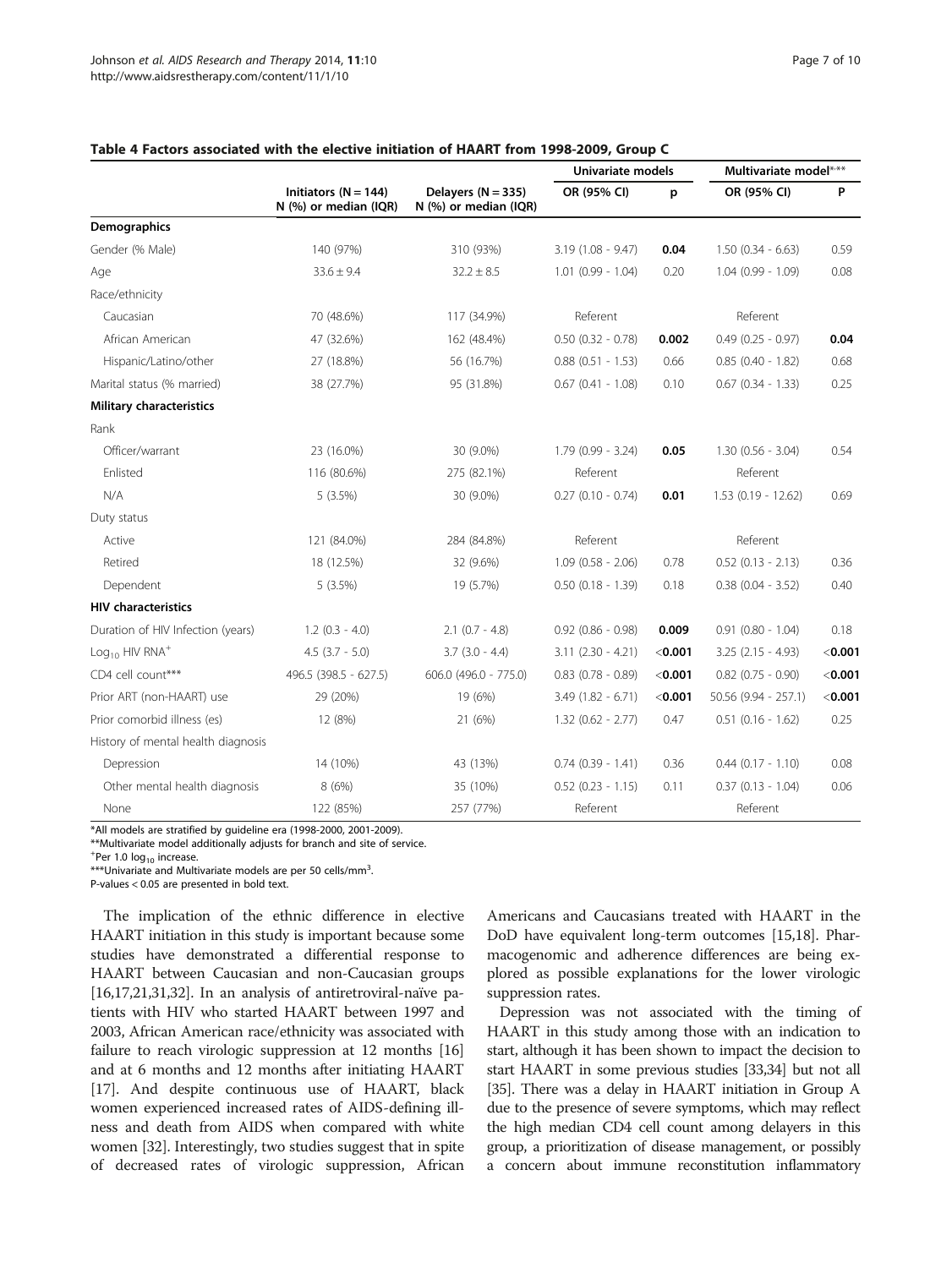|                                    |                                                   | Delayers $(N = 335)$<br>N (%) or median (IQR) | Univariate models      |           | Multivariate model***  |           |
|------------------------------------|---------------------------------------------------|-----------------------------------------------|------------------------|-----------|------------------------|-----------|
|                                    | Initiators ( $N = 144$ )<br>N (%) or median (IQR) |                                               | OR (95% CI)            | p         | OR (95% CI)            | P         |
| Demographics                       |                                                   |                                               |                        |           |                        |           |
| Gender (% Male)                    | 140 (97%)                                         | 310 (93%)                                     | $3.19(1.08 - 9.47)$    | 0.04      | $1.50$ (0.34 - 6.63)   | 0.59      |
| Age                                | $33.6 \pm 9.4$                                    | $32.2 \pm 8.5$                                | $1.01$ (0.99 - 1.04)   | 0.20      | $1.04(0.99 - 1.09)$    | 0.08      |
| Race/ethnicity                     |                                                   |                                               |                        |           |                        |           |
| Caucasian                          | 70 (48.6%)                                        | 117 (34.9%)                                   | Referent               |           | Referent               |           |
| African American                   | 47 (32.6%)                                        | 162 (48.4%)                                   | $0.50$ $(0.32 - 0.78)$ | 0.002     | $0.49$ (0.25 - 0.97)   | 0.04      |
| Hispanic/Latino/other              | 27 (18.8%)                                        | 56 (16.7%)                                    | $0.88$ $(0.51 - 1.53)$ | 0.66      | $0.85(0.40 - 1.82)$    | 0.68      |
| Marital status (% married)         | 38 (27.7%)                                        | 95 (31.8%)                                    | $0.67$ (0.41 - 1.08)   | 0.10      | $0.67$ $(0.34 - 1.33)$ | 0.25      |
| <b>Military characteristics</b>    |                                                   |                                               |                        |           |                        |           |
| Rank                               |                                                   |                                               |                        |           |                        |           |
| Officer/warrant                    | 23 (16.0%)                                        | 30 (9.0%)                                     | $1.79(0.99 - 3.24)$    | 0.05      | $1.30(0.56 - 3.04)$    | 0.54      |
| Enlisted                           | 116 (80.6%)                                       | 275 (82.1%)                                   | Referent               |           | Referent               |           |
| N/A                                | 5(3.5%)                                           | 30 (9.0%)                                     | $0.27(0.10 - 0.74)$    | 0.01      | $1.53$ (0.19 - 12.62)  | 0.69      |
| Duty status                        |                                                   |                                               |                        |           |                        |           |
| Active                             | 121 (84.0%)                                       | 284 (84.8%)                                   | Referent               |           | Referent               |           |
| Retired                            | 18 (12.5%)                                        | 32 (9.6%)                                     | $1.09$ (0.58 - 2.06)   | 0.78      | $0.52$ $(0.13 - 2.13)$ | 0.36      |
| Dependent                          | 5(3.5%)                                           | 19 (5.7%)                                     | $0.50$ $(0.18 - 1.39)$ | 0.18      | $0.38$ $(0.04 - 3.52)$ | 0.40      |
| <b>HIV characteristics</b>         |                                                   |                                               |                        |           |                        |           |
| Duration of HIV Infection (years)  | $1.2$ (0.3 - 4.0)                                 | $2.1$ (0.7 - 4.8)                             | $0.92$ (0.86 - 0.98)   | 0.009     | $0.91$ $(0.80 - 1.04)$ | 0.18      |
| $Log10 HIV RNA+$                   | $4.5$ $(3.7 - 5.0)$                               | $3.7$ $(3.0 - 4.4)$                           | $3.11(2.30 - 4.21)$    | $<$ 0.001 | $3.25$ (2.15 - 4.93)   | < 0.001   |
| CD4 cell count***                  | 496.5 (398.5 - 627.5)                             | 606.0 (496.0 - 775.0)                         | $0.83$ (0.78 - 0.89)   | $<$ 0.001 | $0.82$ (0.75 - 0.90)   | $<$ 0.001 |
| Prior ART (non-HAART) use          | 29 (20%)                                          | 19 (6%)                                       | $3.49(1.82 - 6.71)$    | $<$ 0.001 | 50.56 (9.94 - 257.1)   | $<$ 0.001 |
| Prior comorbid illness (es)        | 12 (8%)                                           | 21 (6%)                                       | $1.32(0.62 - 2.77)$    | 0.47      | $0.51$ (0.16 - 1.62)   | 0.25      |
| History of mental health diagnosis |                                                   |                                               |                        |           |                        |           |
| Depression                         | 14 (10%)                                          | 43 (13%)                                      | $0.74$ $(0.39 - 1.41)$ | 0.36      | $0.44$ $(0.17 - 1.10)$ | 0.08      |
| Other mental health diagnosis      | 8 (6%)                                            | 35 (10%)                                      | $0.52$ (0.23 - 1.15)   | 0.11      | $0.37(0.13 - 1.04)$    | 0.06      |
| None                               | 122 (85%)                                         | 257 (77%)                                     | Referent               |           | Referent               |           |

#### <span id="page-6-0"></span>Table 4 Factors associated with the elective initiation of HAART from 1998-2009, Group C

\*All models are stratified by guideline era (1998-2000, 2001-2009).

\*\*Multivariate model additionally adjusts for branch and site of service.

.

 $+$ Per 1.0  $log_{10}$  increase.

\*\*\*Univariate and Multivariate models are per 50 cells/mm<sup>3</sup>.

P-values < 0.05 are presented in bold text.

The implication of the ethnic difference in elective HAART initiation in this study is important because some studies have demonstrated a differential response to HAART between Caucasian and non-Caucasian groups [[16,17](#page-8-0)[,21,31,32](#page-9-0)]. In an analysis of antiretroviral-naïve patients with HIV who started HAART between 1997 and 2003, African American race/ethnicity was associated with failure to reach virologic suppression at 12 months [[16](#page-8-0)] and at 6 months and 12 months after initiating HAART [[17](#page-8-0)]. And despite continuous use of HAART, black women experienced increased rates of AIDS-defining illness and death from AIDS when compared with white women [[32](#page-9-0)]. Interestingly, two studies suggest that in spite of decreased rates of virologic suppression, African

Americans and Caucasians treated with HAART in the DoD have equivalent long-term outcomes [\[15,18](#page-8-0)]. Pharmacogenomic and adherence differences are being explored as possible explanations for the lower virologic suppression rates.

Depression was not associated with the timing of HAART in this study among those with an indication to start, although it has been shown to impact the decision to start HAART in some previous studies [\[33,34](#page-9-0)] but not all [[35](#page-9-0)]. There was a delay in HAART initiation in Group A due to the presence of severe symptoms, which may reflect the high median CD4 cell count among delayers in this group, a prioritization of disease management, or possibly a concern about immune reconstitution inflammatory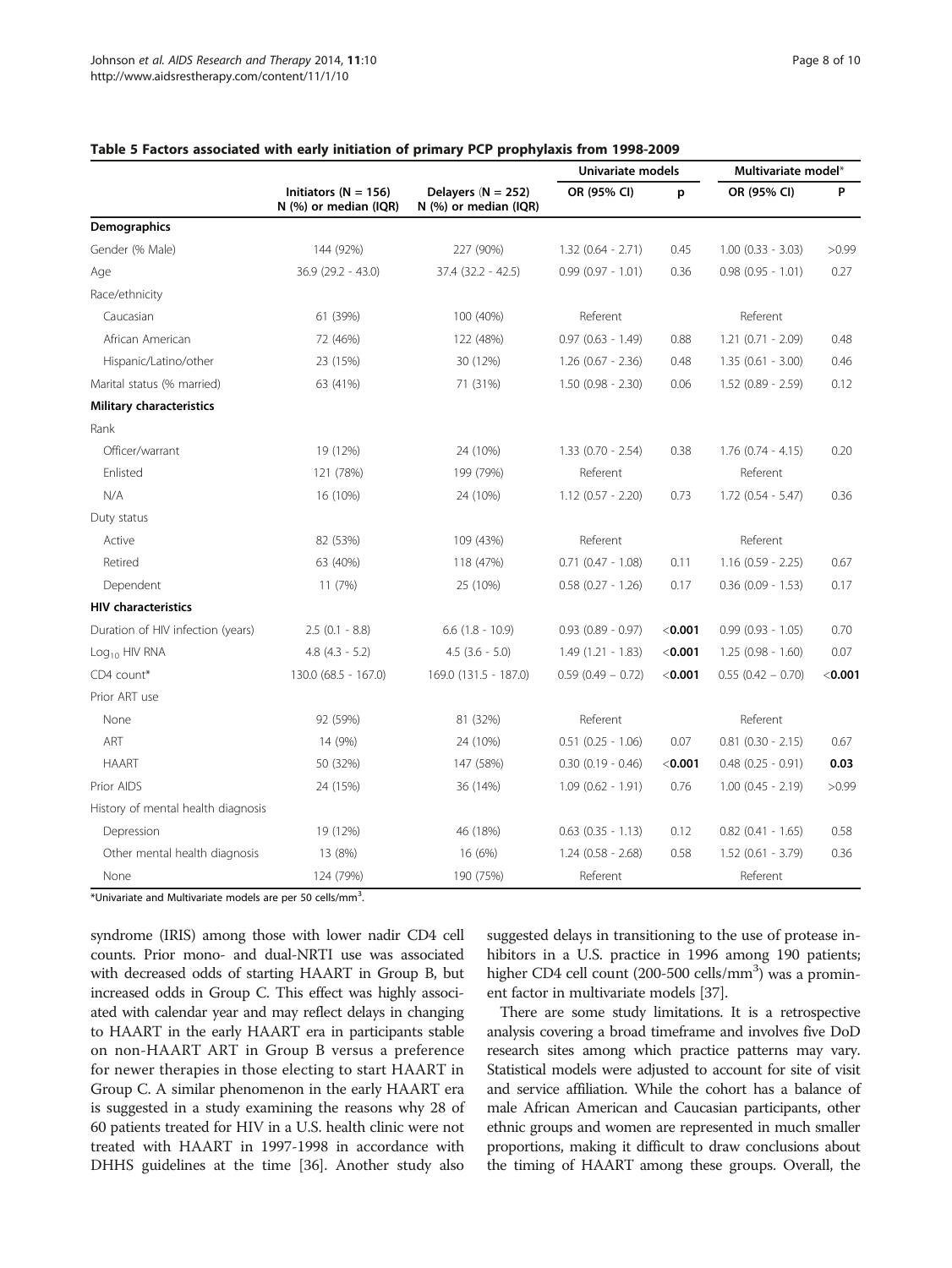|                                    | Initiators ( $N = 156$ )<br>N (%) or median (IQR) | Delayers $(N = 252)$<br>N (%) or median (IQR) | Univariate models      |           | Multivariate model*    |           |
|------------------------------------|---------------------------------------------------|-----------------------------------------------|------------------------|-----------|------------------------|-----------|
|                                    |                                                   |                                               | OR (95% CI)            | p         | OR (95% CI)            | P         |
| <b>Demographics</b>                |                                                   |                                               |                        |           |                        |           |
| Gender (% Male)                    | 144 (92%)                                         | 227 (90%)                                     | $1.32(0.64 - 2.71)$    | 0.45      | $1.00$ $(0.33 - 3.03)$ | >0.99     |
| Age                                | $36.9(29.2 - 43.0)$                               | $37.4$ $(32.2 - 42.5)$                        | $0.99(0.97 - 1.01)$    | 0.36      | $0.98$ $(0.95 - 1.01)$ | 0.27      |
| Race/ethnicity                     |                                                   |                                               |                        |           |                        |           |
| Caucasian                          | 61 (39%)                                          | 100 (40%)                                     | Referent               |           | Referent               |           |
| African American                   | 72 (46%)                                          | 122 (48%)                                     | $0.97$ $(0.63 - 1.49)$ | 0.88      | $1.21(0.71 - 2.09)$    | 0.48      |
| Hispanic/Latino/other              | 23 (15%)                                          | 30 (12%)                                      | $1.26$ (0.67 - 2.36)   | 0.48      | $1.35(0.61 - 3.00)$    | 0.46      |
| Marital status (% married)         | 63 (41%)                                          | 71 (31%)                                      | $1.50$ (0.98 - 2.30)   | 0.06      | $1.52$ (0.89 - 2.59)   | 0.12      |
| Military characteristics           |                                                   |                                               |                        |           |                        |           |
| Rank                               |                                                   |                                               |                        |           |                        |           |
| Officer/warrant                    | 19 (12%)                                          | 24 (10%)                                      | $1.33$ (0.70 - 2.54)   | 0.38      | $1.76$ (0.74 - 4.15)   | 0.20      |
| Enlisted                           | 121 (78%)                                         | 199 (79%)                                     | Referent               |           | Referent               |           |
| N/A                                | 16 (10%)                                          | 24 (10%)                                      | $1.12$ (0.57 - 2.20)   | 0.73      | $1.72$ (0.54 - 5.47)   | 0.36      |
| Duty status                        |                                                   |                                               |                        |           |                        |           |
| Active                             | 82 (53%)                                          | 109 (43%)                                     | Referent               |           | Referent               |           |
| Retired                            | 63 (40%)                                          | 118 (47%)                                     | $0.71$ $(0.47 - 1.08)$ | 0.11      | $1.16$ (0.59 - 2.25)   | 0.67      |
| Dependent                          | 11(7%)                                            | 25 (10%)                                      | $0.58$ $(0.27 - 1.26)$ | 0.17      | $0.36$ (0.09 - 1.53)   | 0.17      |
| <b>HIV</b> characteristics         |                                                   |                                               |                        |           |                        |           |
| Duration of HIV infection (years)  | $2.5$ (0.1 - 8.8)                                 | $6.6$ $(1.8 - 10.9)$                          | $0.93$ $(0.89 - 0.97)$ | $<$ 0.001 | $0.99$ (0.93 - 1.05)   | 0.70      |
| $Log10$ HIV RNA                    | $4.8$ $(4.3 - 5.2)$                               | $4.5$ $(3.6 - 5.0)$                           | $1.49(1.21 - 1.83)$    | $<$ 0.001 | $1.25(0.98 - 1.60)$    | 0.07      |
| CD4 count*                         | $130.0$ (68.5 - 167.0)                            | 169.0 (131.5 - 187.0)                         | $0.59(0.49 - 0.72)$    | $<$ 0.001 | $0.55(0.42 - 0.70)$    | $<$ 0.001 |
| Prior ART use                      |                                                   |                                               |                        |           |                        |           |
| None                               | 92 (59%)                                          | 81 (32%)                                      | Referent               |           | Referent               |           |
| ART                                | 14 (9%)                                           | 24 (10%)                                      | $0.51$ $(0.25 - 1.06)$ | 0.07      | $0.81$ $(0.30 - 2.15)$ | 0.67      |
| <b>HAART</b>                       | 50 (32%)                                          | 147 (58%)                                     | $0.30$ $(0.19 - 0.46)$ | $<$ 0.001 | $0.48$ $(0.25 - 0.91)$ | 0.03      |
| Prior AIDS                         | 24 (15%)                                          | 36 (14%)                                      | $1.09$ (0.62 - 1.91)   | 0.76      | $1.00$ (0.45 - 2.19)   | >0.99     |
| History of mental health diagnosis |                                                   |                                               |                        |           |                        |           |
| Depression                         | 19 (12%)                                          | 46 (18%)                                      | $0.63$ $(0.35 - 1.13)$ | 0.12      | $0.82$ (0.41 - 1.65)   | 0.58      |
| Other mental health diagnosis      | 13 (8%)                                           | 16 (6%)                                       | $1.24$ (0.58 - 2.68)   | 0.58      | $1.52$ (0.61 - 3.79)   | 0.36      |
| None                               | 124 (79%)                                         | 190 (75%)                                     | Referent               |           | Referent               |           |

<span id="page-7-0"></span>

| Table 5 Factors associated with early initiation of primary PCP prophylaxis from 1998-2009 |  |  |  |  |
|--------------------------------------------------------------------------------------------|--|--|--|--|
|--------------------------------------------------------------------------------------------|--|--|--|--|

\*Univariate and Multivariate models are per 50 cells/mm<sup>3</sup> .

syndrome (IRIS) among those with lower nadir CD4 cell counts. Prior mono- and dual-NRTI use was associated with decreased odds of starting HAART in Group B, but increased odds in Group C. This effect was highly associated with calendar year and may reflect delays in changing to HAART in the early HAART era in participants stable on non-HAART ART in Group B versus a preference for newer therapies in those electing to start HAART in Group C. A similar phenomenon in the early HAART era is suggested in a study examining the reasons why 28 of 60 patients treated for HIV in a U.S. health clinic were not treated with HAART in 1997-1998 in accordance with DHHS guidelines at the time [\[36\]](#page-9-0). Another study also

suggested delays in transitioning to the use of protease inhibitors in a U.S. practice in 1996 among 190 patients; higher CD4 cell count (200-500 cells/mm<sup>3</sup>) was a prominent factor in multivariate models [[37](#page-9-0)].

There are some study limitations. It is a retrospective analysis covering a broad timeframe and involves five DoD research sites among which practice patterns may vary. Statistical models were adjusted to account for site of visit and service affiliation. While the cohort has a balance of male African American and Caucasian participants, other ethnic groups and women are represented in much smaller proportions, making it difficult to draw conclusions about the timing of HAART among these groups. Overall, the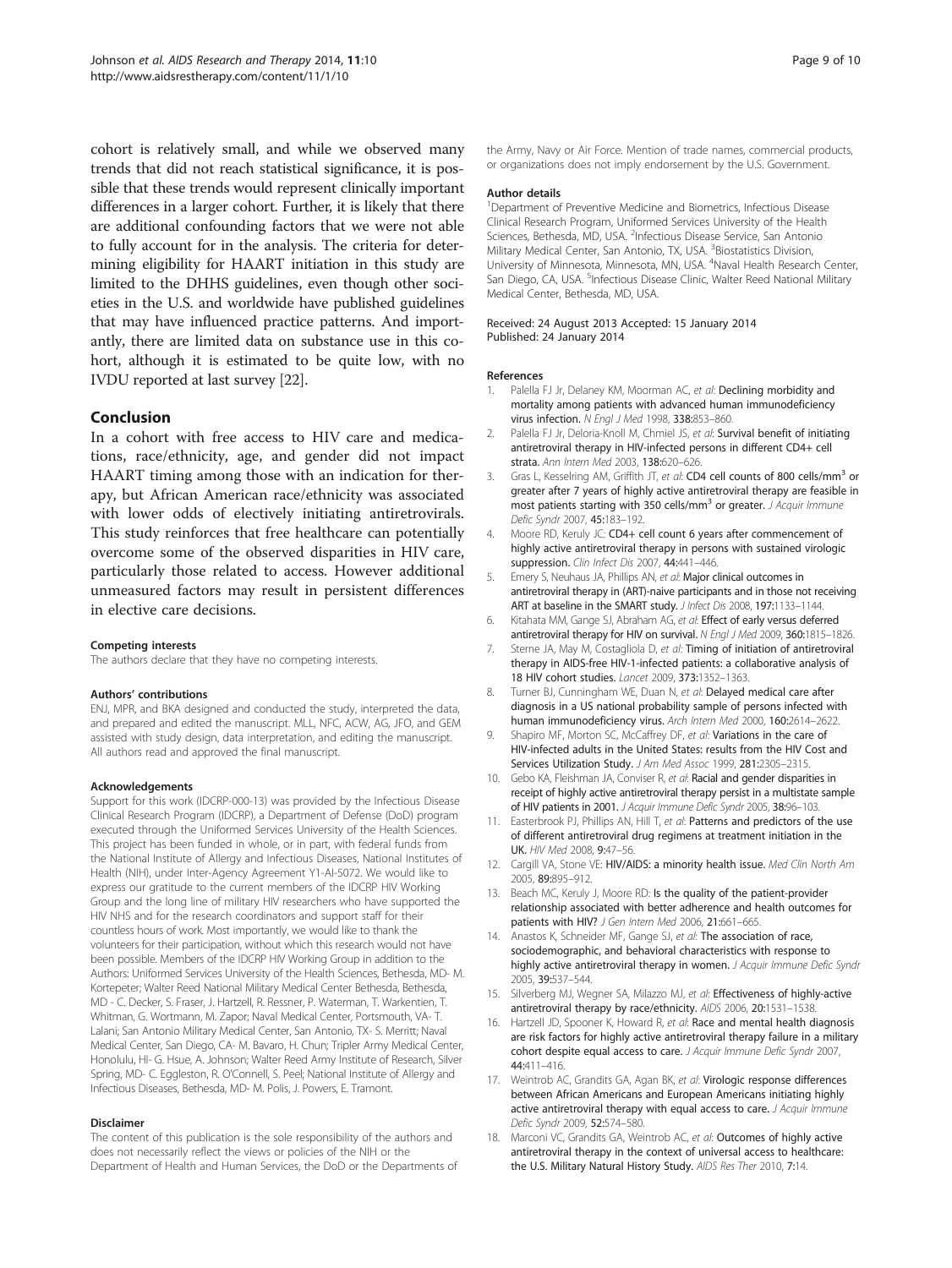<span id="page-8-0"></span>cohort is relatively small, and while we observed many trends that did not reach statistical significance, it is possible that these trends would represent clinically important differences in a larger cohort. Further, it is likely that there are additional confounding factors that we were not able to fully account for in the analysis. The criteria for determining eligibility for HAART initiation in this study are limited to the DHHS guidelines, even though other societies in the U.S. and worldwide have published guidelines that may have influenced practice patterns. And importantly, there are limited data on substance use in this cohort, although it is estimated to be quite low, with no IVDU reported at last survey [[22](#page-9-0)].

#### Conclusion

In a cohort with free access to HIV care and medications, race/ethnicity, age, and gender did not impact HAART timing among those with an indication for therapy, but African American race/ethnicity was associated with lower odds of electively initiating antiretrovirals. This study reinforces that free healthcare can potentially overcome some of the observed disparities in HIV care, particularly those related to access. However additional unmeasured factors may result in persistent differences in elective care decisions.

#### Competing interests

The authors declare that they have no competing interests.

#### Authors' contributions

ENJ, MPR, and BKA designed and conducted the study, interpreted the data, and prepared and edited the manuscript. MLL, NFC, ACW, AG, JFO, and GEM assisted with study design, data interpretation, and editing the manuscript. All authors read and approved the final manuscript.

#### Acknowledgements

Support for this work (IDCRP-000-13) was provided by the Infectious Disease Clinical Research Program (IDCRP), a Department of Defense (DoD) program executed through the Uniformed Services University of the Health Sciences. This project has been funded in whole, or in part, with federal funds from the National Institute of Allergy and Infectious Diseases, National Institutes of Health (NIH), under Inter-Agency Agreement Y1-AI-5072. We would like to express our gratitude to the current members of the IDCRP HIV Working Group and the long line of military HIV researchers who have supported the HIV NHS and for the research coordinators and support staff for their countless hours of work. Most importantly, we would like to thank the volunteers for their participation, without which this research would not have been possible. Members of the IDCRP HIV Working Group in addition to the Authors: Uniformed Services University of the Health Sciences, Bethesda, MD- M. Kortepeter; Walter Reed National Military Medical Center Bethesda, Bethesda, MD - C. Decker, S. Fraser, J. Hartzell, R. Ressner, P. Waterman, T. Warkentien, T. Whitman, G. Wortmann, M. Zapor; Naval Medical Center, Portsmouth, VA- T. Lalani; San Antonio Military Medical Center, San Antonio, TX- S. Merritt; Naval Medical Center, San Diego, CA- M. Bavaro, H. Chun; Tripler Army Medical Center, Honolulu, HI- G. Hsue, A. Johnson; Walter Reed Army Institute of Research, Silver Spring, MD- C. Eggleston, R. O'Connell, S. Peel; National Institute of Allergy and Infectious Diseases, Bethesda, MD- M. Polis, J. Powers, E. Tramont.

#### Disclaimer

The content of this publication is the sole responsibility of the authors and does not necessarily reflect the views or policies of the NIH or the Department of Health and Human Services, the DoD or the Departments of

the Army, Navy or Air Force. Mention of trade names, commercial products, or organizations does not imply endorsement by the U.S. Government.

#### Author details

<sup>1</sup>Department of Preventive Medicine and Biometrics, Infectious Disease Clinical Research Program, Uniformed Services University of the Health Sciences, Bethesda, MD, USA. <sup>2</sup>Infectious Disease Service, San Antonic Military Medical Center, San Antonio, TX, USA. <sup>3</sup>Biostatistics Division, University of Minnesota, Minnesota, MN, USA. <sup>4</sup>Naval Health Research Center San Diego, CA, USA. <sup>5</sup>Infectious Disease Clinic, Walter Reed National Military Medical Center, Bethesda, MD, USA.

Received: 24 August 2013 Accepted: 15 January 2014 Published: 24 January 2014

#### References

- 1. Palella FJ Jr, Delaney KM, Moorman AC, et al: Declining morbidity and mortality among patients with advanced human immunodeficiency virus infection. N Engl J Med 1998, 338:853-860.
- 2. Palella FJ Jr, Deloria-Knoll M, Chmiel JS, et al: Survival benefit of initiating antiretroviral therapy in HIV-infected persons in different CD4+ cell strata. Ann Intern Med 2003, 138:620–626.
- 3. Gras L, Kesselring AM, Griffith JT, et al: CD4 cell counts of 800 cells/mm<sup>3</sup> or greater after 7 years of highly active antiretroviral therapy are feasible in most patients starting with 350 cells/mm<sup>3</sup> or greater. J Acquir Immune Defic Syndr 2007, 45:183–192.
- 4. Moore RD, Keruly JC: CD4+ cell count 6 years after commencement of highly active antiretroviral therapy in persons with sustained virologic suppression. Clin Infect Dis 2007, 44:441-446.
- 5. Emery S, Neuhaus JA, Phillips AN, et al: Major clinical outcomes in antiretroviral therapy in (ART)-naive participants and in those not receiving ART at baseline in the SMART study. J Infect Dis 2008, 197:1133–1144.
- 6. Kitahata MM, Gange SJ, Abraham AG, et al: Effect of early versus deferred antiretroviral therapy for HIV on survival. N Engl J Med 2009, 360:1815-1826.
- 7. Sterne JA, May M, Costagliola D, et al: Timing of initiation of antiretroviral therapy in AIDS-free HIV-1-infected patients: a collaborative analysis of 18 HIV cohort studies. Lancet 2009, 373:1352-1363.
- 8. Turner BJ, Cunningham WE, Duan N, et al: Delayed medical care after diagnosis in a US national probability sample of persons infected with human immunodeficiency virus. Arch Intern Med 2000, 160:2614–2622.
- 9. Shapiro MF, Morton SC, McCaffrey DF, et al: Variations in the care of HIV-infected adults in the United States: results from the HIV Cost and Services Utilization Study. J Am Med Assoc 1999, 281:2305–2315.
- 10. Gebo KA, Fleishman JA, Conviser R, et al: Racial and gender disparities in receipt of highly active antiretroviral therapy persist in a multistate sample of HIV patients in 2001. J Acquir Immune Defic Syndr 2005, 38:96–103.
- 11. Easterbrook PJ, Phillips AN, Hill T, et al: Patterns and predictors of the use of different antiretroviral drug regimens at treatment initiation in the UK. HIV Med 2008, 9:47–56.
- 12. Cargill VA, Stone VE: HIV/AIDS: a minority health issue. Med Clin North Am 2005, 89:895–912.
- 13. Beach MC, Keruly J, Moore RD: Is the quality of the patient-provider relationship associated with better adherence and health outcomes for patients with HIV? J Gen Intern Med 2006, 21:661-665.
- 14. Anastos K, Schneider MF, Gange SJ, et al: The association of race, sociodemographic, and behavioral characteristics with response to highly active antiretroviral therapy in women. J Acquir Immune Defic Syndr 2005, 39:537–544.
- 15. Silverberg MJ, Wegner SA, Milazzo MJ, et al: Effectiveness of highly-active antiretroviral therapy by race/ethnicity. AIDS 2006, 20:1531–1538.
- 16. Hartzell JD, Spooner K, Howard R, et al: Race and mental health diagnosis are risk factors for highly active antiretroviral therapy failure in a military cohort despite equal access to care. J Acquir Immune Defic Syndr 2007, 44:411–416.
- 17. Weintrob AC, Grandits GA, Agan BK, et al: Virologic response differences between African Americans and European Americans initiating highly active antiretroviral therapy with equal access to care. J Acquir Immune Defic Syndr 2009, 52:574–580.
- 18. Marconi VC, Grandits GA, Weintrob AC, et al: Outcomes of highly active antiretroviral therapy in the context of universal access to healthcare: the U.S. Military Natural History Study. AIDS Res Ther 2010, 7:14.